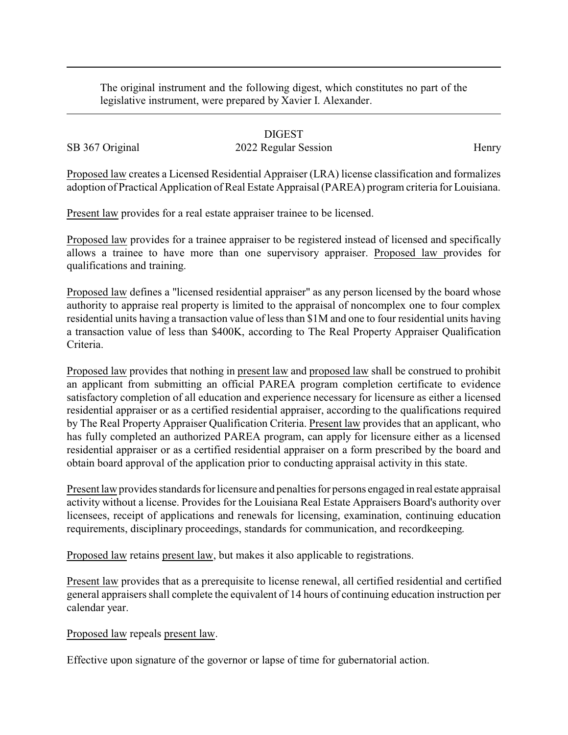The original instrument and the following digest, which constitutes no part of the legislative instrument, were prepared by Xavier I. Alexander.

## DIGEST

SB 367 Original 2022 Regular Session Henry

Proposed law creates a Licensed Residential Appraiser (LRA) license classification and formalizes adoption of Practical Application of Real Estate Appraisal (PAREA) program criteria for Louisiana.

Present law provides for a real estate appraiser trainee to be licensed.

Proposed law provides for a trainee appraiser to be registered instead of licensed and specifically allows a trainee to have more than one supervisory appraiser. Proposed law provides for qualifications and training.

Proposed law defines a "licensed residential appraiser" as any person licensed by the board whose authority to appraise real property is limited to the appraisal of noncomplex one to four complex residential units having a transaction value of less than \$1M and one to four residential units having a transaction value of less than \$400K, according to The Real Property Appraiser Qualification Criteria.

Proposed law provides that nothing in present law and proposed law shall be construed to prohibit an applicant from submitting an official PAREA program completion certificate to evidence satisfactory completion of all education and experience necessary for licensure as either a licensed residential appraiser or as a certified residential appraiser, according to the qualifications required by The Real Property Appraiser Qualification Criteria. Present law provides that an applicant, who has fully completed an authorized PAREA program, can apply for licensure either as a licensed residential appraiser or as a certified residential appraiser on a form prescribed by the board and obtain board approval of the application prior to conducting appraisal activity in this state.

Present law provides standards for licensure and penalties for persons engaged in real estate appraisal activity without a license. Provides for the Louisiana Real Estate Appraisers Board's authority over licensees, receipt of applications and renewals for licensing, examination, continuing education requirements, disciplinary proceedings, standards for communication, and recordkeeping.

Proposed law retains present law, but makes it also applicable to registrations.

Present law provides that as a prerequisite to license renewal, all certified residential and certified general appraisers shall complete the equivalent of 14 hours of continuing education instruction per calendar year.

Proposed law repeals present law.

Effective upon signature of the governor or lapse of time for gubernatorial action.